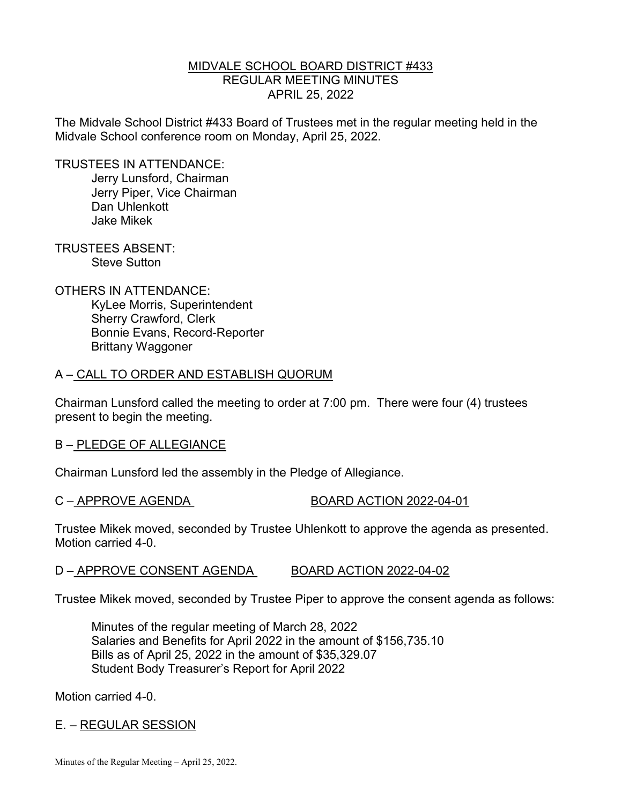#### MIDVALE SCHOOL BOARD DISTRICT #433 REGULAR MEETING MINUTES APRIL 25, 2022

The Midvale School District #433 Board of Trustees met in the regular meeting held in the Midvale School conference room on Monday, April 25, 2022.

TRUSTEES IN ATTENDANCE:

 Jerry Lunsford, Chairman Jerry Piper, Vice Chairman Dan Uhlenkott Jake Mikek

TRUSTEES ABSENT: Steve Sutton

OTHERS IN ATTENDANCE: KyLee Morris, Superintendent Sherry Crawford, Clerk Bonnie Evans, Record-Reporter Brittany Waggoner

### A – CALL TO ORDER AND ESTABLISH QUORUM

Chairman Lunsford called the meeting to order at 7:00 pm. There were four (4) trustees present to begin the meeting.

#### B – PLEDGE OF ALLEGIANCE

Chairman Lunsford led the assembly in the Pledge of Allegiance.

C – APPROVE AGENDA BOARD ACTION 2022-04-01

Trustee Mikek moved, seconded by Trustee Uhlenkott to approve the agenda as presented. Motion carried 4-0.

### D – APPROVE CONSENT AGENDA BOARD ACTION 2022-04-02

Trustee Mikek moved, seconded by Trustee Piper to approve the consent agenda as follows:

 Minutes of the regular meeting of March 28, 2022 Salaries and Benefits for April 2022 in the amount of \$156,735.10 Bills as of April 25, 2022 in the amount of \$35,329.07 Student Body Treasurer's Report for April 2022

Motion carried 4-0.

### E. – REGULAR SESSION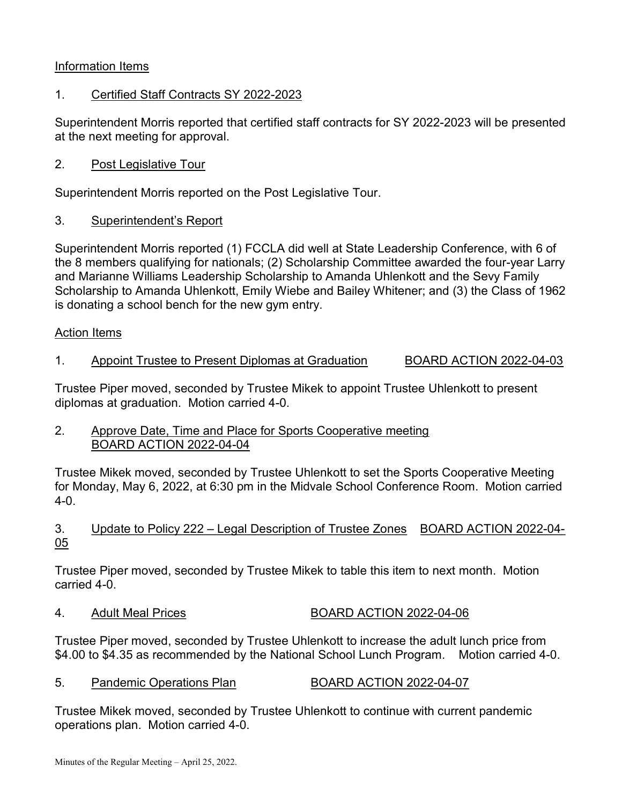# Information Items

## 1. Certified Staff Contracts SY 2022-2023

Superintendent Morris reported that certified staff contracts for SY 2022-2023 will be presented at the next meeting for approval.

2. Post Legislative Tour

Superintendent Morris reported on the Post Legislative Tour.

3. Superintendent's Report

Superintendent Morris reported (1) FCCLA did well at State Leadership Conference, with 6 of the 8 members qualifying for nationals; (2) Scholarship Committee awarded the four-year Larry and Marianne Williams Leadership Scholarship to Amanda Uhlenkott and the Sevy Family Scholarship to Amanda Uhlenkott, Emily Wiebe and Bailey Whitener; and (3) the Class of 1962 is donating a school bench for the new gym entry.

#### Action Items

### 1. Appoint Trustee to Present Diplomas at Graduation BOARD ACTION 2022-04-03

Trustee Piper moved, seconded by Trustee Mikek to appoint Trustee Uhlenkott to present diplomas at graduation. Motion carried 4-0.

2. Approve Date, Time and Place for Sports Cooperative meeting BOARD ACTION 2022-04-04

Trustee Mikek moved, seconded by Trustee Uhlenkott to set the Sports Cooperative Meeting for Monday, May 6, 2022, at 6:30 pm in the Midvale School Conference Room. Motion carried 4-0.

### 3. Update to Policy 222 – Legal Description of Trustee Zones BOARD ACTION 2022-04- 05

Trustee Piper moved, seconded by Trustee Mikek to table this item to next month. Motion carried 4-0.

### 4. Adult Meal Prices BOARD ACTION 2022-04-06

Trustee Piper moved, seconded by Trustee Uhlenkott to increase the adult lunch price from \$4.00 to \$4.35 as recommended by the National School Lunch Program. Motion carried 4-0.

### 5. Pandemic Operations Plan BOARD ACTION 2022-04-07

Trustee Mikek moved, seconded by Trustee Uhlenkott to continue with current pandemic operations plan. Motion carried 4-0.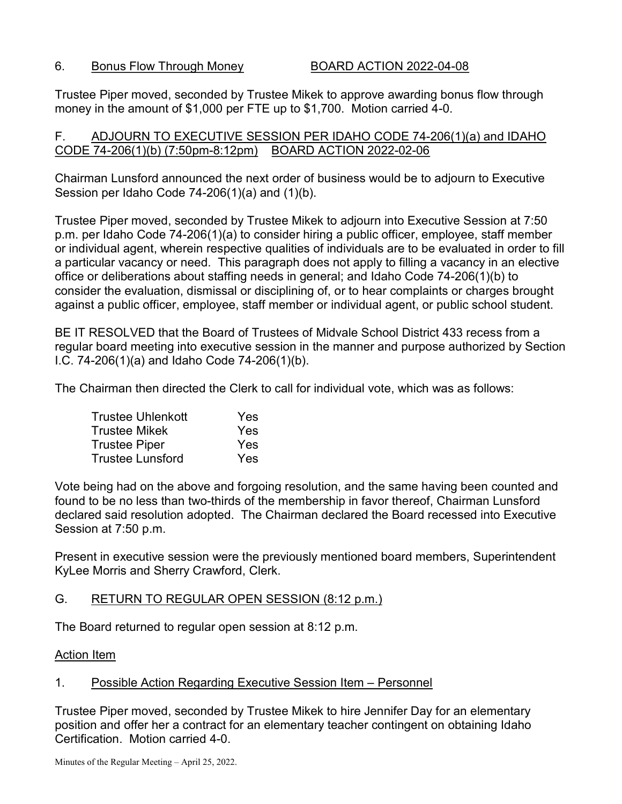#### 6. Bonus Flow Through Money BOARD ACTION 2022-04-08

Trustee Piper moved, seconded by Trustee Mikek to approve awarding bonus flow through money in the amount of \$1,000 per FTE up to \$1,700. Motion carried 4-0.

### F. ADJOURN TO EXECUTIVE SESSION PER IDAHO CODE 74-206(1)(a) and IDAHO CODE 74-206(1)(b) (7:50pm-8:12pm) BOARD ACTION 2022-02-06

Chairman Lunsford announced the next order of business would be to adjourn to Executive Session per Idaho Code 74-206(1)(a) and (1)(b).

Trustee Piper moved, seconded by Trustee Mikek to adjourn into Executive Session at 7:50 p.m. per Idaho Code 74-206(1)(a) to consider hiring a public officer, employee, staff member or individual agent, wherein respective qualities of individuals are to be evaluated in order to fill a particular vacancy or need. This paragraph does not apply to filling a vacancy in an elective office or deliberations about staffing needs in general; and Idaho Code 74-206(1)(b) to consider the evaluation, dismissal or disciplining of, or to hear complaints or charges brought against a public officer, employee, staff member or individual agent, or public school student.

BE IT RESOLVED that the Board of Trustees of Midvale School District 433 recess from a regular board meeting into executive session in the manner and purpose authorized by Section I.C. 74-206(1)(a) and Idaho Code 74-206(1)(b).

The Chairman then directed the Clerk to call for individual vote, which was as follows:

| <b>Trustee Uhlenkott</b> | Yes |
|--------------------------|-----|
| <b>Trustee Mikek</b>     | Yes |
| <b>Trustee Piper</b>     | Yes |
| <b>Trustee Lunsford</b>  | Yes |

Vote being had on the above and forgoing resolution, and the same having been counted and found to be no less than two-thirds of the membership in favor thereof, Chairman Lunsford declared said resolution adopted. The Chairman declared the Board recessed into Executive Session at 7:50 p.m.

Present in executive session were the previously mentioned board members, Superintendent KyLee Morris and Sherry Crawford, Clerk.

### G. RETURN TO REGULAR OPEN SESSION (8:12 p.m.)

The Board returned to regular open session at 8:12 p.m.

Action Item

### 1. Possible Action Regarding Executive Session Item – Personnel

Trustee Piper moved, seconded by Trustee Mikek to hire Jennifer Day for an elementary position and offer her a contract for an elementary teacher contingent on obtaining Idaho Certification. Motion carried 4-0.